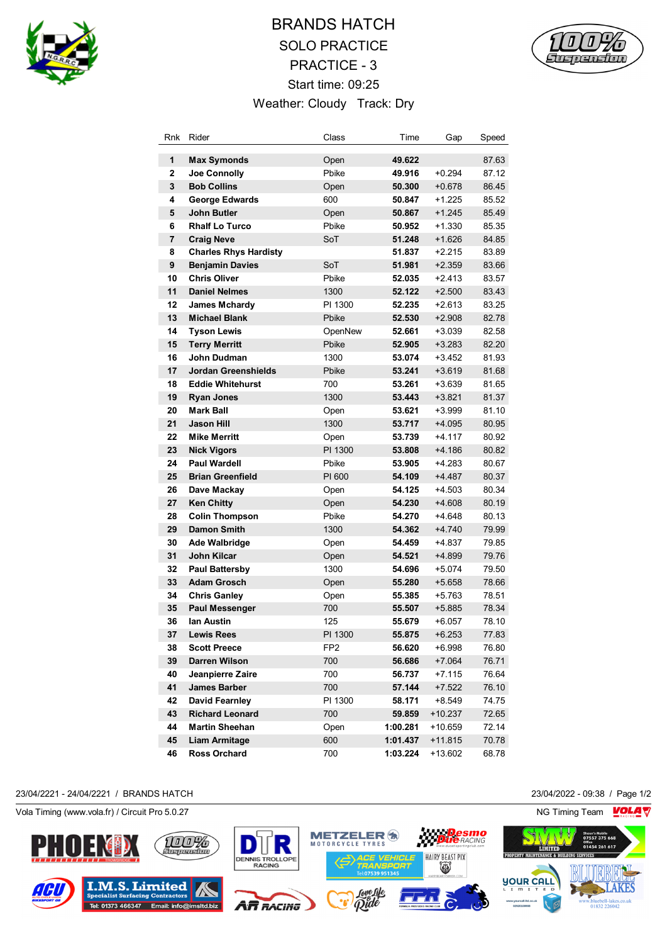

## BRANDS HATCH SOLO PRACTICE PRACTICE - 3 Start time: 09:25 Weather: Cloudy Track: Dry



| Rnk | Rider                        | Class           | Time     | Gap       | Speed |
|-----|------------------------------|-----------------|----------|-----------|-------|
| 1   | <b>Max Symonds</b>           | Open            | 49.622   |           | 87.63 |
| 2   | Joe Connolly                 | Pbike           | 49.916   | $+0.294$  | 87.12 |
| 3   | <b>Bob Collins</b>           | Open            | 50.300   | $+0.678$  | 86.45 |
| 4   | <b>George Edwards</b>        | 600             | 50.847   | $+1.225$  | 85.52 |
| 5   | <b>John Butler</b>           | Open            | 50.867   | $+1.245$  | 85.49 |
| 6   | <b>Rhalf Lo Turco</b>        | Pbike           | 50.952   | $+1.330$  | 85.35 |
| 7   | <b>Craig Neve</b>            | SoT             | 51.248   | $+1.626$  | 84.85 |
| 8   | <b>Charles Rhys Hardisty</b> |                 | 51.837   | $+2.215$  | 83.89 |
| 9   | <b>Benjamin Davies</b>       | SoT             | 51.981   | $+2.359$  | 83.66 |
| 10  | <b>Chris Oliver</b>          | Pbike           | 52.035   | $+2.413$  | 83.57 |
| 11  | <b>Daniel Nelmes</b>         | 1300            | 52.122   | $+2.500$  | 83.43 |
| 12  | <b>James Mchardy</b>         | PI 1300         | 52.235   | $+2.613$  | 83.25 |
| 13  | <b>Michael Blank</b>         | Pbike           | 52.530   | $+2.908$  | 82.78 |
| 14  | <b>Tyson Lewis</b>           | OpenNew         | 52.661   | $+3.039$  | 82.58 |
| 15  | <b>Terry Merritt</b>         | Pbike           | 52.905   | $+3.283$  | 82.20 |
| 16  | John Dudman                  | 1300            | 53.074   | $+3.452$  | 81.93 |
| 17  | <b>Jordan Greenshields</b>   | Pbike           | 53.241   | $+3.619$  | 81.68 |
| 18  | <b>Eddie Whitehurst</b>      | 700             | 53.261   | $+3.639$  | 81.65 |
| 19  | <b>Ryan Jones</b>            | 1300            | 53.443   | $+3.821$  | 81.37 |
| 20  | <b>Mark Ball</b>             | Open            | 53.621   | $+3.999$  | 81.10 |
| 21  | <b>Jason Hill</b>            | 1300            | 53.717   | $+4.095$  | 80.95 |
| 22  | <b>Mike Merritt</b>          | Open            | 53.739   | +4.117    | 80.92 |
| 23  | <b>Nick Vigors</b>           | PI 1300         | 53.808   | +4.186    | 80.82 |
| 24  | <b>Paul Wardell</b>          | Pbike           | 53.905   | +4.283    | 80.67 |
| 25  | <b>Brian Greenfield</b>      | PI 600          | 54.109   | +4.487    | 80.37 |
| 26  | Dave Mackay                  | Open            | 54.125   | +4.503    | 80.34 |
| 27  | <b>Ken Chitty</b>            | Open            | 54.230   | $+4.608$  | 80.19 |
| 28  | <b>Colin Thompson</b>        | Pbike           | 54.270   | +4.648    | 80.13 |
| 29  | <b>Damon Smith</b>           | 1300            | 54.362   | $+4.740$  | 79.99 |
| 30  | <b>Ade Walbridge</b>         | Open            | 54.459   | +4.837    | 79.85 |
| 31  | John Kilcar                  | Open            | 54.521   | +4.899    | 79.76 |
| 32  | <b>Paul Battersby</b>        | 1300            | 54.696   | $+5.074$  | 79.50 |
| 33  | <b>Adam Grosch</b>           | Open            | 55.280   | $+5.658$  | 78.66 |
| 34  | <b>Chris Ganley</b>          | Open            | 55.385   | +5.763    | 78.51 |
| 35  | <b>Paul Messenger</b>        | 700             | 55.507   | $+5.885$  | 78.34 |
| 36  | lan Austin                   | 125             | 55.679   | $+6.057$  | 78.10 |
| 37  | Lewis Rees                   | PI 1300         | 55.875   | $+6.253$  | 77.83 |
| 38  | <b>Scott Preece</b>          | FP <sub>2</sub> | 56.620   | $+6.998$  | 76.80 |
| 39  | Darren Wilson                | 700             | 56.686   | $+7.064$  | 76.71 |
| 40  | Jeanpierre Zaire             | 700             | 56.737   | +7.115    | 76.64 |
| 41  | <b>James Barber</b>          | 700             | 57.144   | $+7.522$  | 76.10 |
| 42  | <b>David Fearnley</b>        | PI 1300         | 58.171   | $+8.549$  | 74.75 |
| 43  | <b>Richard Leonard</b>       | 700             | 59.859   | $+10.237$ | 72.65 |
| 44  | <b>Martin Sheehan</b>        | Open            | 1:00.281 | +10.659   | 72.14 |
| 45  | Liam Armitage                | 600             | 1:01.437 | $+11.815$ | 70.78 |
| 46  | <b>Ross Orchard</b>          | 700             | 1:03.224 | $+13.602$ | 68.78 |

## 23/04/2221 - 24/04/2221 / BRANDS HATCH 23/04/2022 - 09:38 / Page 1/2

Vola Timing (www.vola.fr) / Circuit Pro 5.0.27 NG Timing Team NG Timing Team NG Timing Team NG Timing Team NG

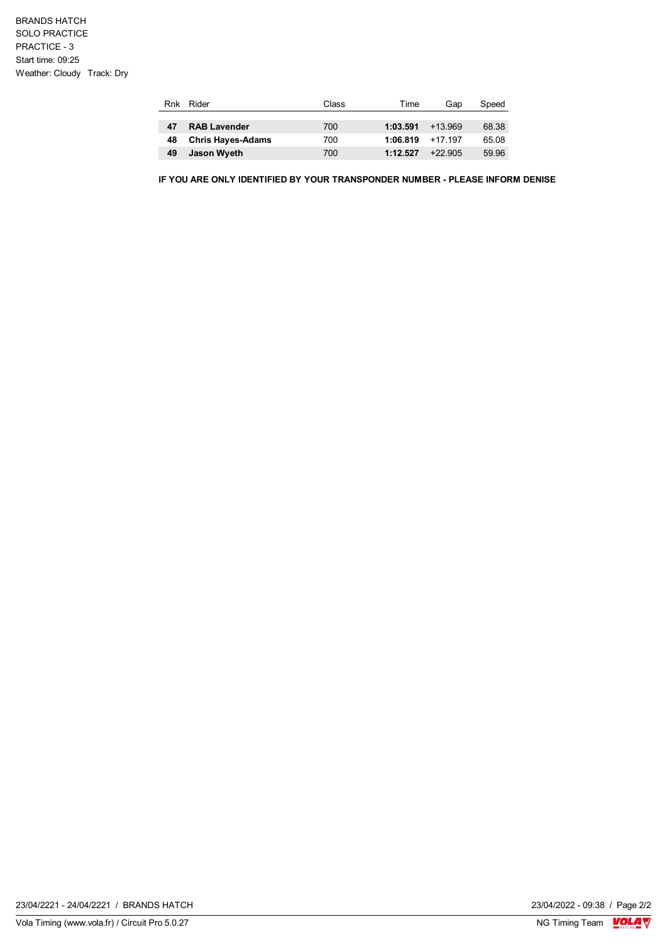| Rnk | Rider                    | Class | Time     | Gap       | Speed |
|-----|--------------------------|-------|----------|-----------|-------|
|     |                          |       |          |           |       |
| 47  | <b>RAB Lavender</b>      | 700   | 1:03.591 | $+13.969$ | 68.38 |
| 48  | <b>Chris Hayes-Adams</b> | 700   | 1:06.819 | +17 197   | 65.08 |
| 49  | Jason Wyeth              | 700   | 1:12.527 | $+22.905$ | 59.96 |

**IF YOU ARE ONLY IDENTIFIED BY YOUR TRANSPONDER NUMBER - PLEASE INFORM DENISE**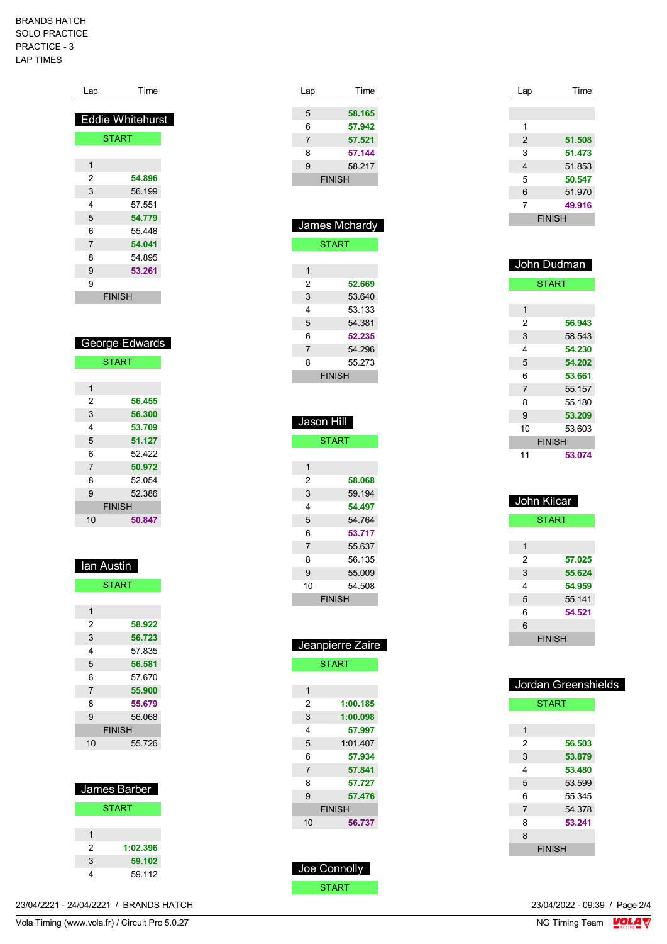## BRANDS HATCH SOLO PRACTICE PRACTICE - 3 LAP TIMES

| Lap                     | Time                    |  |  |  |  |
|-------------------------|-------------------------|--|--|--|--|
|                         | <b>Eddie Whitehurst</b> |  |  |  |  |
|                         | <b>START</b>            |  |  |  |  |
|                         |                         |  |  |  |  |
| 1                       |                         |  |  |  |  |
| 2                       | 54.896                  |  |  |  |  |
| 3                       | 56.199                  |  |  |  |  |
| 4                       | 57.551                  |  |  |  |  |
| 5                       | 54.779                  |  |  |  |  |
| 6                       | 55.448                  |  |  |  |  |
| 7                       | 54.041                  |  |  |  |  |
| 8                       | 54.895                  |  |  |  |  |
| 9                       | 53.261                  |  |  |  |  |
| 9                       | <b>FINISH</b>           |  |  |  |  |
|                         |                         |  |  |  |  |
|                         |                         |  |  |  |  |
|                         |                         |  |  |  |  |
|                         | George Edwards          |  |  |  |  |
|                         | <b>START</b>            |  |  |  |  |
|                         |                         |  |  |  |  |
| $\overline{1}$          |                         |  |  |  |  |
| $\overline{2}$          | 56.455                  |  |  |  |  |
| 3                       | 56.300                  |  |  |  |  |
| 4                       | 53.709                  |  |  |  |  |
| 5                       | 51.127                  |  |  |  |  |
| 6                       | 52.422                  |  |  |  |  |
| 7                       | 50.972                  |  |  |  |  |
| 8                       | 52.054                  |  |  |  |  |
| 9                       | 52.386                  |  |  |  |  |
|                         | <b>FINISH</b>           |  |  |  |  |
| 10                      | 50.847                  |  |  |  |  |
|                         |                         |  |  |  |  |
|                         |                         |  |  |  |  |
| lan Austin              |                         |  |  |  |  |
|                         | <b>START</b>            |  |  |  |  |
|                         |                         |  |  |  |  |
| $\overline{\mathbf{1}}$ |                         |  |  |  |  |
| 2                       | 58.922                  |  |  |  |  |
|                         | 56.723                  |  |  |  |  |
| 3                       |                         |  |  |  |  |
| 4                       | 57.835                  |  |  |  |  |

| 6  | 57.670        |  |
|----|---------------|--|
| 7  | 55.900        |  |
| 8  | 55.679        |  |
| 9  | 56.068        |  |
|    | <b>FINISH</b> |  |
| 10 | 55.726        |  |
|    |               |  |

| James Barber |              |  |  |
|--------------|--------------|--|--|
|              | <b>START</b> |  |  |
|              |              |  |  |
| 1            |              |  |  |
| 2            | 1:02.396     |  |  |
| 3            | 59.102       |  |  |
|              | 59 112       |  |  |

| Lap               | Time             |
|-------------------|------------------|
| 5                 | 58.165           |
| 6                 | 57.942           |
| 7                 | 57.521           |
| 8                 | 57.144           |
| 9                 | 58.217           |
|                   | <b>FINISH</b>    |
|                   |                  |
|                   |                  |
|                   | James Mchardy    |
|                   | <b>START</b>     |
| 1                 |                  |
| 2                 | 52.669           |
| 3                 | 53.640           |
| 4                 | 53.133           |
| 5                 | 54.381           |
| 6                 | 52.235           |
| 7                 | 54.296           |
| 8                 | 55.273           |
|                   | <b>FINISH</b>    |
|                   |                  |
|                   |                  |
| Jason Hill        |                  |
|                   | <b>START</b>     |
|                   |                  |
| 1                 |                  |
| 2                 | 58.068           |
| 3                 | 59.194           |
| 4                 | 54.497           |
| 5                 | 54.764           |
| 6<br>7            | 53.717<br>55.637 |
| 8                 | 56.135           |
| 9                 |                  |
| 10                | 55.009<br>54.508 |
|                   | <b>FINISH</b>    |
|                   |                  |
|                   |                  |
|                   |                  |
| <u>Jeanpierre</u> | all<br>е         |

|    | <b>START</b>  |  |  |
|----|---------------|--|--|
|    |               |  |  |
| 1  |               |  |  |
| 2  | 1:00.185      |  |  |
| 3  | 1:00.098      |  |  |
| 4  | 57.997        |  |  |
| 5  | 1:01.407      |  |  |
| 6  | 57.934        |  |  |
| 7  | 57.841        |  |  |
| 8  | 57.727        |  |  |
| 9  | 57.476        |  |  |
|    | <b>FINISH</b> |  |  |
| 10 | 56.737        |  |  |
|    |               |  |  |

| Joe Connolly |
|--------------|
| START        |

| Lap | Time          |
|-----|---------------|
|     |               |
|     |               |
| 1   |               |
| 2   | 51.508        |
| 3   | 51.473        |
| 4   | 51.853        |
| 5   | 50.547        |
| 6   | 51.970        |
| 7   | 49.916        |
|     | <b>FINISH</b> |

| John Dudman |               |  |
|-------------|---------------|--|
|             | <b>START</b>  |  |
|             |               |  |
| 1           |               |  |
| 2           | 56.943        |  |
| 3           | 58.543        |  |
| 4           | 54.230        |  |
| 5           | 54.202        |  |
| 6           | 53.661        |  |
| 7           | 55.157        |  |
| 8           | 55.180        |  |
| 9           | 53.209        |  |
| 10          | 53.603        |  |
|             | <b>FINISH</b> |  |
| 11          | 53.074        |  |

| John Kilcar   |              |  |  |
|---------------|--------------|--|--|
|               | <b>START</b> |  |  |
|               |              |  |  |
| 1             |              |  |  |
| 2             | 57.025       |  |  |
| 3             | 55.624       |  |  |
| 4             | 54.959       |  |  |
| 5             | 55 141       |  |  |
| 6             | 54.521       |  |  |
| 6             |              |  |  |
| <b>FINISH</b> |              |  |  |

| Jordan Greenshields |               |        |  |
|---------------------|---------------|--------|--|
|                     | <b>START</b>  |        |  |
|                     |               |        |  |
| 1                   |               |        |  |
| 2                   | 56.503        |        |  |
| 3                   | 53.879        |        |  |
| 4                   | 53.480        |        |  |
| 5                   | 53.599        |        |  |
| 6                   |               | 55.345 |  |
| 7                   | 54.378        |        |  |
| 8                   | 53.241        |        |  |
| 8                   |               |        |  |
|                     | <b>FINISH</b> |        |  |

23/04/2022 - 09:39 / Page 2/4<br>NG Timing Team  $\frac{\text{VOLA}}{\text{N}}$ 

Vola Timing (www.vola.fr) / Circuit Pro 5.0.27 23/04/2221 - 24/04/2221 / BRANDS HATCH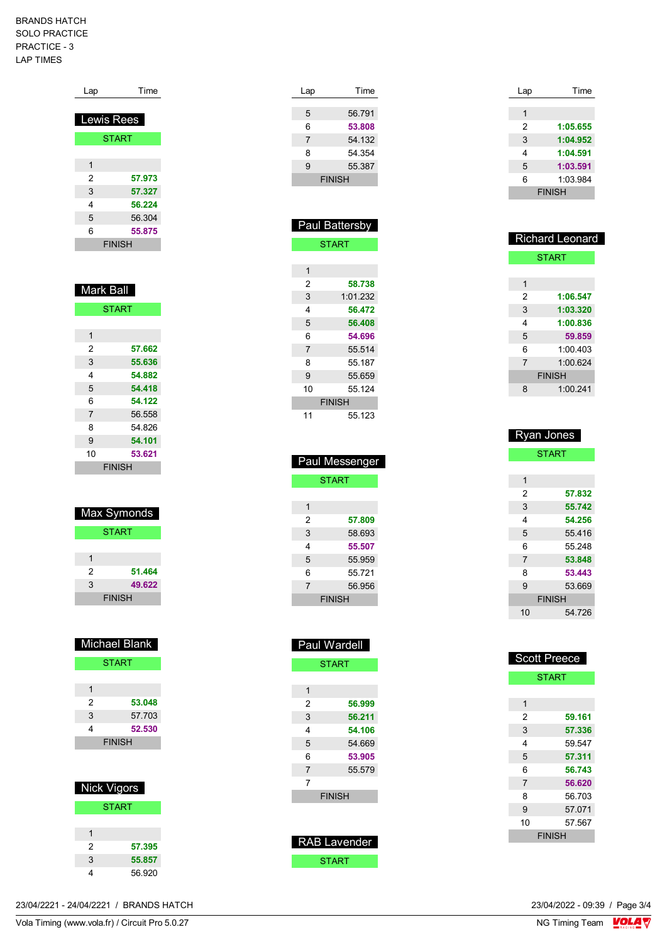## BRANDS HATCH SOLO PRACTICE PRACTICE - 3 LAP TIMES

| Lap               | Time          |  |
|-------------------|---------------|--|
| <b>Lewis Rees</b> |               |  |
| <b>START</b>      |               |  |
|                   |               |  |
| 1                 |               |  |
| 2                 | 57.973        |  |
| 3                 | 57.327        |  |
| 4                 | 56.224        |  |
| 5                 | 56.304        |  |
| 6                 | 55.875        |  |
|                   | <b>FINISH</b> |  |

| <b>Mark Ball</b> |               |  |
|------------------|---------------|--|
|                  | <b>START</b>  |  |
|                  |               |  |
| 1                |               |  |
| 2                | 57.662        |  |
| 3                | 55.636        |  |
| 4                | 54.882        |  |
| 5                | 54.418        |  |
| 6                | 54.122        |  |
| $\overline{7}$   | 56.558        |  |
| 8                | 54.826        |  |
| 9                | 54.101        |  |
| 10               | 53.621        |  |
|                  | <b>FINISH</b> |  |

| Max Symonds   |        |  |
|---------------|--------|--|
| <b>START</b>  |        |  |
|               |        |  |
| 1             |        |  |
| 2             | 51.464 |  |
| 3             | 49.622 |  |
| <b>FINISH</b> |        |  |

| <b>Michael Blank</b> |              |  |
|----------------------|--------------|--|
|                      | <b>START</b> |  |
|                      |              |  |
| 1                    |              |  |
| 2                    | 53.048       |  |
| 3                    | 57.703       |  |
| 4                    | 52.530       |  |
| <b>FINISH</b>        |              |  |
|                      |              |  |
|                      |              |  |

| Nick Vigors  |        |  |
|--------------|--------|--|
| <b>START</b> |        |  |
|              |        |  |
|              |        |  |
| 2            | 57.395 |  |
| 3            | 55.857 |  |
|              | 56.920 |  |

| Lap | Time          |
|-----|---------------|
|     |               |
| 5   | 56.791        |
| 6   | 53.808        |
| 7   | 54.132        |
| 8   | 54.354        |
| 9   | 55.387        |
|     | <b>FINISH</b> |
|     |               |

| Paul Battersby |              |  |
|----------------|--------------|--|
|                | <b>START</b> |  |
|                |              |  |
| 1              |              |  |
| 2              | 58.738       |  |
| 3              | 1:01.232     |  |
| 4              | 56.472       |  |
| 5              | 56.408       |  |
| 6              | 54.696       |  |
| $\overline{7}$ | 55.514       |  |
| 8              | 55.187       |  |
| 9              | 55.659       |  |
| 10             | 55 124       |  |
| <b>FINISH</b>  |              |  |
| 11             | 55.123       |  |

| <b>Paul Messenger</b> |        |  |
|-----------------------|--------|--|
| <b>START</b>          |        |  |
|                       |        |  |
| 1                     |        |  |
| 2                     | 57.809 |  |
| 3                     | 58.693 |  |
| 4                     | 55.507 |  |
| 5                     | 55.959 |  |
| 6                     | 55.721 |  |
| $\overline{7}$        | 56.956 |  |
| <b>FINISH</b>         |        |  |

| Paul Wardell  |        |  |
|---------------|--------|--|
| <b>START</b>  |        |  |
|               |        |  |
| 1             |        |  |
| 2             | 56.999 |  |
| 3             | 56.211 |  |
| 4             | 54.106 |  |
| 5             | 54.669 |  |
| 6             | 53.905 |  |
| 7             | 55.579 |  |
| 7             |        |  |
| <b>FINISH</b> |        |  |
|               |        |  |
|               |        |  |
|               |        |  |

 RAB Lavender START

| Lap           | Time     |
|---------------|----------|
|               |          |
| 1             |          |
| 2             | 1:05.655 |
| 3             | 1:04.952 |
| 4             | 1:04.591 |
| 5             | 1:03.591 |
| 6             | 1:03.984 |
| <b>FINISH</b> |          |

| <b>Richard Leonard</b> |              |  |
|------------------------|--------------|--|
|                        | <b>START</b> |  |
|                        |              |  |
| 1                      |              |  |
| 2                      | 1:06.547     |  |
| 3                      | 1:03.320     |  |
| 4                      | 1:00.836     |  |
| 5                      | 59.859       |  |
| 6                      | 1.00403      |  |
| $\overline{7}$         | 1.00624      |  |
| <b>FINISH</b>          |              |  |
| 8                      | 1:00.241     |  |
|                        |              |  |

| <b>Ryan Jones</b> |              |  |
|-------------------|--------------|--|
|                   | <b>START</b> |  |
|                   |              |  |
| 1                 |              |  |
| 2                 | 57.832       |  |
| 3                 | 55.742       |  |
| 4                 | 54.256       |  |
| 5                 | 55416        |  |
| 6                 | 55 248       |  |
| $\overline{7}$    | 53.848       |  |
| 8                 | 53.443       |  |
| 9                 | 53.669       |  |
| <b>FINISH</b>     |              |  |
| 10                | 54 726       |  |

| <b>Scott Preece</b> |        |  |
|---------------------|--------|--|
| <b>START</b>        |        |  |
|                     |        |  |
| 1                   |        |  |
| 2                   | 59.161 |  |
| 3                   | 57.336 |  |
| 4                   | 59 547 |  |
| 5                   | 57.311 |  |
| 6                   | 56.743 |  |
| $\overline{7}$      | 56.620 |  |
| 8                   | 56.703 |  |
| 9                   | 57.071 |  |
| 10                  | 57.567 |  |
| <b>FINISH</b>       |        |  |

23/04/2221 - 24/04/2221 / BRANDS HATCH